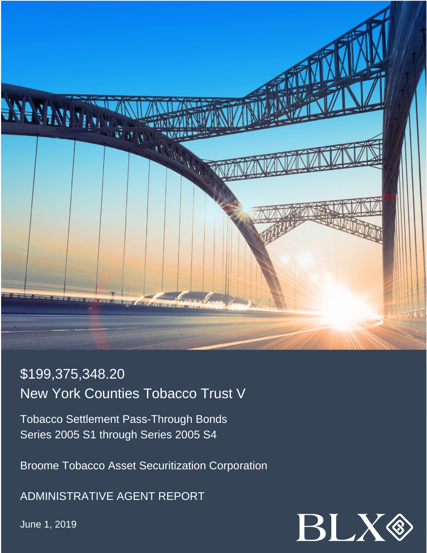

# \$199,375,348.20 New York Counties Tobacco Trust V

Tobacco Settlement Pass-Through Bonds Series 2005 S1 through Series 2005 S4

Broome Tobacco Asset Securitization Corporation

ADMINISTRATIVE AGENT REPORT

June 1, 2019

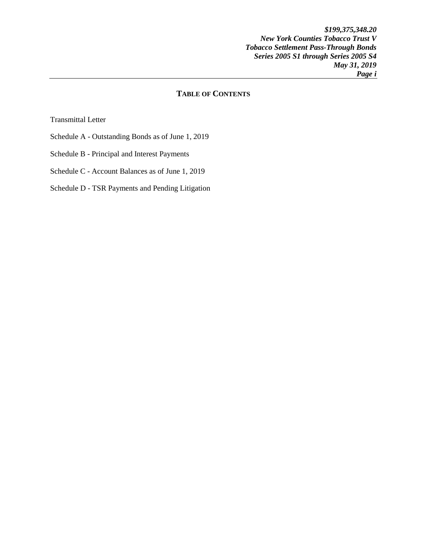*\$199,375,348.20 New York Counties Tobacco Trust V Tobacco Settlement Pass-Through Bonds Series 2005 S1 through Series 2005 S4 May 31, 2019 Page i* 

# **TABLE OF CONTENTS**

Transmittal Letter

- Schedule A Outstanding Bonds as of June 1, 2019
- Schedule B Principal and Interest Payments
- Schedule C Account Balances as of June 1, 2019

## Schedule D - TSR Payments and Pending Litigation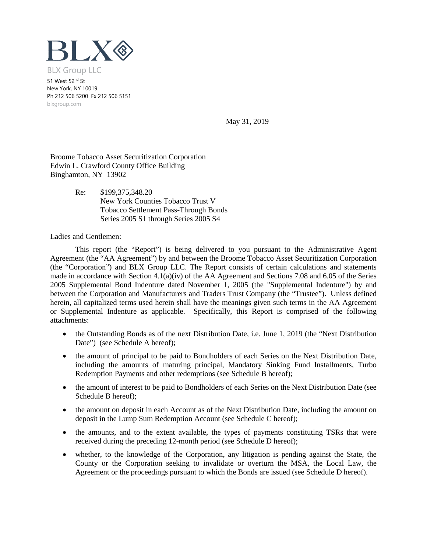

51 West 52nd St New York, NY 10019 Ph 212 506 5200 Fx 212 506 5151 blxgroup.com

May 31, 2019

Broome Tobacco Asset Securitization Corporation Edwin L. Crawford County Office Building Binghamton, NY 13902

> Re: \$199,375,348.20 New York Counties Tobacco Trust V Tobacco Settlement Pass-Through Bonds Series 2005 S1 through Series 2005 S4

Ladies and Gentlemen:

This report (the "Report") is being delivered to you pursuant to the Administrative Agent Agreement (the "AA Agreement") by and between the Broome Tobacco Asset Securitization Corporation (the "Corporation") and BLX Group LLC. The Report consists of certain calculations and statements made in accordance with Section 4.1(a)(iv) of the AA Agreement and Sections 7.08 and 6.05 of the Series 2005 Supplemental Bond Indenture dated November 1, 2005 (the "Supplemental Indenture") by and between the Corporation and Manufacturers and Traders Trust Company (the "Trustee"). Unless defined herein, all capitalized terms used herein shall have the meanings given such terms in the AA Agreement or Supplemental Indenture as applicable. Specifically, this Report is comprised of the following attachments:

- the Outstanding Bonds as of the next Distribution Date, i.e. June 1, 2019 (the "Next Distribution" Date") (see Schedule A hereof);
- the amount of principal to be paid to Bondholders of each Series on the Next Distribution Date, including the amounts of maturing principal, Mandatory Sinking Fund Installments, Turbo Redemption Payments and other redemptions (see Schedule B hereof);
- the amount of interest to be paid to Bondholders of each Series on the Next Distribution Date (see Schedule B hereof);
- the amount on deposit in each Account as of the Next Distribution Date, including the amount on deposit in the Lump Sum Redemption Account (see Schedule C hereof);
- the amounts, and to the extent available, the types of payments constituting TSRs that were received during the preceding 12-month period (see Schedule D hereof);
- whether, to the knowledge of the Corporation, any litigation is pending against the State, the County or the Corporation seeking to invalidate or overturn the MSA, the Local Law, the Agreement or the proceedings pursuant to which the Bonds are issued (see Schedule D hereof).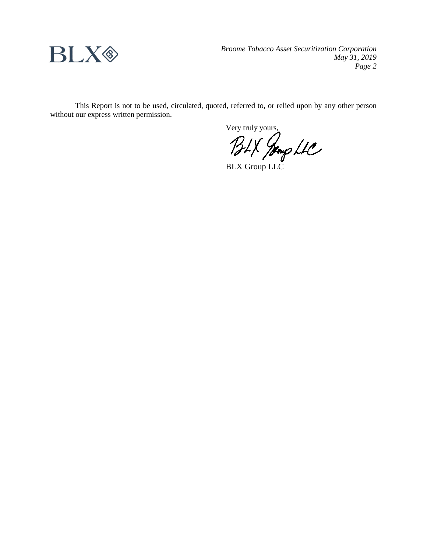

*Broome Tobacco Asset Securitization Corporation May 31, 2019 Page 2*

This Report is not to be used, circulated, quoted, referred to, or relied upon by any other person without our express written permission.

Very truly yours,

BLX Group LLC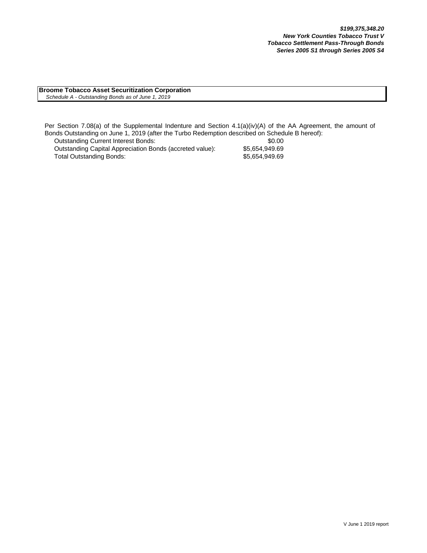**Broome Tobacco Asset Securitization Corporation**  *Schedule A - Outstanding Bonds as of June 1, 2019*

Per Section 7.08(a) of the Supplemental Indenture and Section 4.1(a)(iv)(A) of the AA Agreement, the amount of Bonds Outstanding on June 1, 2019 (after the Turbo Redemption described on Schedule B hereof):

Outstanding Current Interest Bonds:<br>Outstanding Capital Appreciation Bonds (accreted value): \$5,654,949.69 Outstanding Capital Appreciation Bonds (accreted value): Total Outstanding Bonds: \$5,654,949.69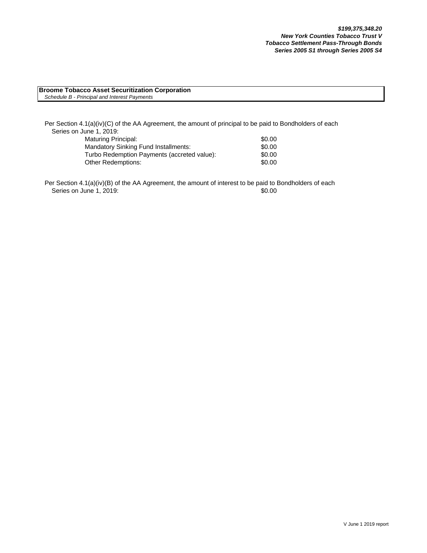#### **Broome Tobacco Asset Securitization Corporation** *Schedule B - Principal and Interest Payments*

Per Section 4.1(a)(iv)(C) of the AA Agreement, the amount of principal to be paid to Bondholders of each Series on June 1, 2019:

| Maturing Principal:                         | \$0.00 |
|---------------------------------------------|--------|
| Mandatory Sinking Fund Installments:        | \$0.00 |
| Turbo Redemption Payments (accreted value): | \$0.00 |
| Other Redemptions:                          | \$0.00 |

Per Section 4.1(a)(iv)(B) of the AA Agreement, the amount of interest to be paid to Bondholders of each Series on June 1, 2019: \$0.00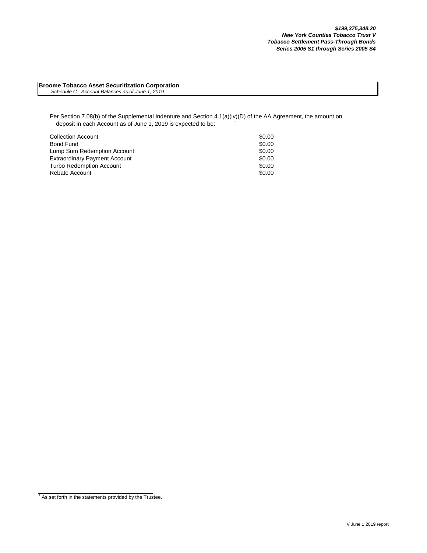**Broome Tobacco Asset Securitization Corporation**  *Schedule C - Account Balances as of June 1, 2019*

Per Section 7.08(b) of the Supplemental Indenture and Section 4.1(a)(iv)(D) of the AA Agreement, the amount on deposit in each Account as of June 1, 2019 is expected to be:

| <b>Collection Account</b>            | \$0.00 |
|--------------------------------------|--------|
| Bond Fund                            | \$0.00 |
| Lump Sum Redemption Account          | \$0.00 |
| <b>Extraordinary Payment Account</b> | \$0.00 |
| <b>Turbo Redemption Account</b>      | \$0.00 |
| Rebate Account                       | \$0.00 |

 $1$  As set forth in the statements provided by the Trustee.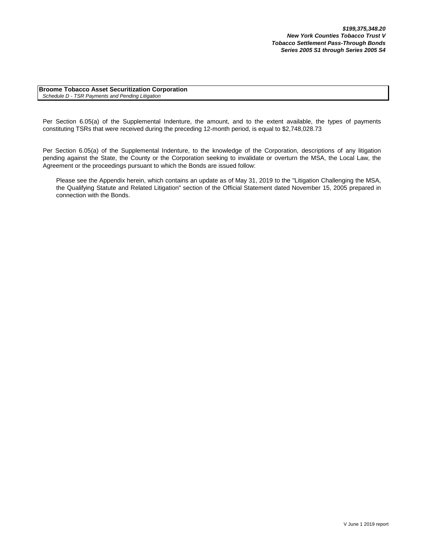**Broome Tobacco Asset Securitization Corporation** *Schedule D - TSR Payments and Pending Litigation*

Per Section 6.05(a) of the Supplemental Indenture, the amount, and to the extent available, the types of payments constituting TSRs that were received during the preceding 12-month period, is equal to \$2,748,028.73

Per Section 6.05(a) of the Supplemental Indenture, to the knowledge of the Corporation, descriptions of any litigation pending against the State, the County or the Corporation seeking to invalidate or overturn the MSA, the Local Law, the Agreement or the proceedings pursuant to which the Bonds are issued follow:

Please see the Appendix herein, which contains an update as of May 31, 2019 to the "Litigation Challenging the MSA, the Qualifying Statute and Related Litigation" section of the Official Statement dated November 15, 2005 prepared in connection with the Bonds.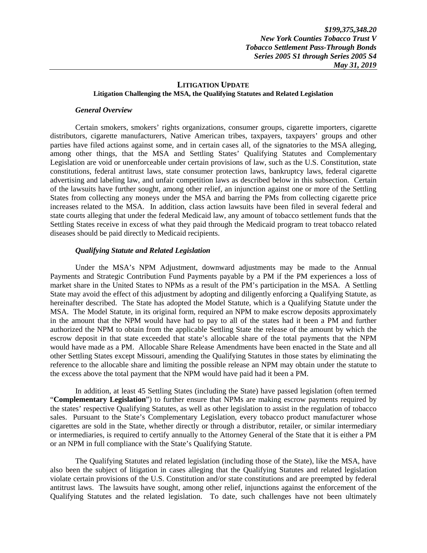### **LITIGATION UPDATE Litigation Challenging the MSA, the Qualifying Statutes and Related Legislation**

#### *General Overview*

Certain smokers, smokers' rights organizations, consumer groups, cigarette importers, cigarette distributors, cigarette manufacturers, Native American tribes, taxpayers, taxpayers' groups and other parties have filed actions against some, and in certain cases all, of the signatories to the MSA alleging, among other things, that the MSA and Settling States' Qualifying Statutes and Complementary Legislation are void or unenforceable under certain provisions of law, such as the U.S. Constitution, state constitutions, federal antitrust laws, state consumer protection laws, bankruptcy laws, federal cigarette advertising and labeling law, and unfair competition laws as described below in this subsection. Certain of the lawsuits have further sought, among other relief, an injunction against one or more of the Settling States from collecting any moneys under the MSA and barring the PMs from collecting cigarette price increases related to the MSA. In addition, class action lawsuits have been filed in several federal and state courts alleging that under the federal Medicaid law, any amount of tobacco settlement funds that the Settling States receive in excess of what they paid through the Medicaid program to treat tobacco related diseases should be paid directly to Medicaid recipients.

### *Qualifying Statute and Related Legislation*

Under the MSA's NPM Adjustment, downward adjustments may be made to the Annual Payments and Strategic Contribution Fund Payments payable by a PM if the PM experiences a loss of market share in the United States to NPMs as a result of the PM's participation in the MSA. A Settling State may avoid the effect of this adjustment by adopting and diligently enforcing a Qualifying Statute, as hereinafter described. The State has adopted the Model Statute, which is a Qualifying Statute under the MSA. The Model Statute, in its original form, required an NPM to make escrow deposits approximately in the amount that the NPM would have had to pay to all of the states had it been a PM and further authorized the NPM to obtain from the applicable Settling State the release of the amount by which the escrow deposit in that state exceeded that state's allocable share of the total payments that the NPM would have made as a PM. Allocable Share Release Amendments have been enacted in the State and all other Settling States except Missouri, amending the Qualifying Statutes in those states by eliminating the reference to the allocable share and limiting the possible release an NPM may obtain under the statute to the excess above the total payment that the NPM would have paid had it been a PM.

In addition, at least 45 Settling States (including the State) have passed legislation (often termed "**Complementary Legislation**") to further ensure that NPMs are making escrow payments required by the states' respective Qualifying Statutes, as well as other legislation to assist in the regulation of tobacco sales. Pursuant to the State's Complementary Legislation, every tobacco product manufacturer whose cigarettes are sold in the State, whether directly or through a distributor, retailer, or similar intermediary or intermediaries, is required to certify annually to the Attorney General of the State that it is either a PM or an NPM in full compliance with the State's Qualifying Statute.

The Qualifying Statutes and related legislation (including those of the State), like the MSA, have also been the subject of litigation in cases alleging that the Qualifying Statutes and related legislation violate certain provisions of the U.S. Constitution and/or state constitutions and are preempted by federal antitrust laws. The lawsuits have sought, among other relief, injunctions against the enforcement of the Qualifying Statutes and the related legislation. To date, such challenges have not been ultimately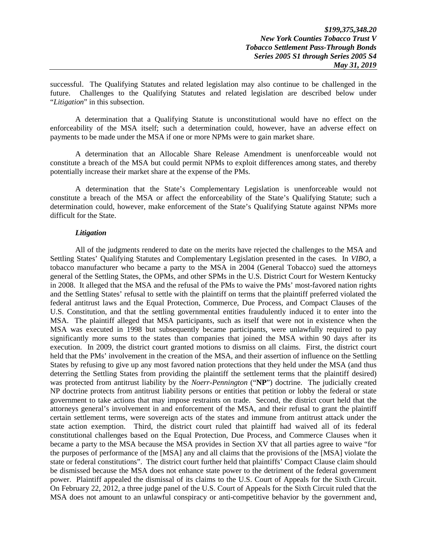successful. The Qualifying Statutes and related legislation may also continue to be challenged in the future. Challenges to the Qualifying Statutes and related legislation are described below under "*Litigation*" in this subsection.

A determination that a Qualifying Statute is unconstitutional would have no effect on the enforceability of the MSA itself; such a determination could, however, have an adverse effect on payments to be made under the MSA if one or more NPMs were to gain market share.

A determination that an Allocable Share Release Amendment is unenforceable would not constitute a breach of the MSA but could permit NPMs to exploit differences among states, and thereby potentially increase their market share at the expense of the PMs.

A determination that the State's Complementary Legislation is unenforceable would not constitute a breach of the MSA or affect the enforceability of the State's Qualifying Statute; such a determination could, however, make enforcement of the State's Qualifying Statute against NPMs more difficult for the State.

### *Litigation*

All of the judgments rendered to date on the merits have rejected the challenges to the MSA and Settling States' Qualifying Statutes and Complementary Legislation presented in the cases. In *VIBO*, a tobacco manufacturer who became a party to the MSA in 2004 (General Tobacco) sued the attorneys general of the Settling States, the OPMs, and other SPMs in the U.S. District Court for Western Kentucky in 2008. It alleged that the MSA and the refusal of the PMs to waive the PMs' most-favored nation rights and the Settling States' refusal to settle with the plaintiff on terms that the plaintiff preferred violated the federal antitrust laws and the Equal Protection, Commerce, Due Process, and Compact Clauses of the U.S. Constitution, and that the settling governmental entities fraudulently induced it to enter into the MSA. The plaintiff alleged that MSA participants, such as itself that were not in existence when the MSA was executed in 1998 but subsequently became participants, were unlawfully required to pay significantly more sums to the states than companies that joined the MSA within 90 days after its execution. In 2009, the district court granted motions to dismiss on all claims. First, the district court held that the PMs' involvement in the creation of the MSA, and their assertion of influence on the Settling States by refusing to give up any most favored nation protections that they held under the MSA (and thus deterring the Settling States from providing the plaintiff the settlement terms that the plaintiff desired) was protected from antitrust liability by the *Noerr-Pennington* ("**NP**") doctrine. The judicially created NP doctrine protects from antitrust liability persons or entities that petition or lobby the federal or state government to take actions that may impose restraints on trade. Second, the district court held that the attorneys general's involvement in and enforcement of the MSA, and their refusal to grant the plaintiff certain settlement terms, were sovereign acts of the states and immune from antitrust attack under the state action exemption. Third, the district court ruled that plaintiff had waived all of its federal constitutional challenges based on the Equal Protection, Due Process, and Commerce Clauses when it became a party to the MSA because the MSA provides in Section XV that all parties agree to waive "for the purposes of performance of the [MSA] any and all claims that the provisions of the [MSA] violate the state or federal constitutions". The district court further held that plaintiffs' Compact Clause claim should be dismissed because the MSA does not enhance state power to the detriment of the federal government power. Plaintiff appealed the dismissal of its claims to the U.S. Court of Appeals for the Sixth Circuit. On February 22, 2012, a three judge panel of the U.S. Court of Appeals for the Sixth Circuit ruled that the MSA does not amount to an unlawful conspiracy or anti-competitive behavior by the government and,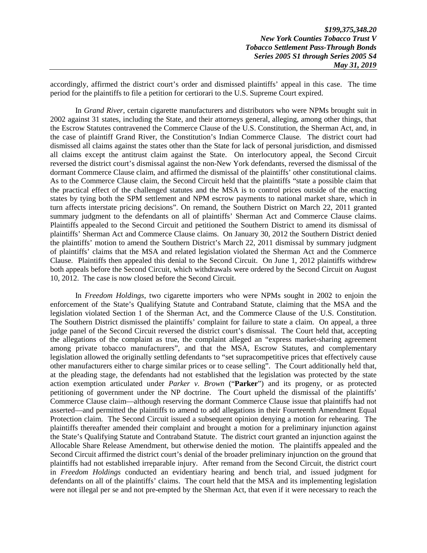accordingly, affirmed the district court's order and dismissed plaintiffs' appeal in this case. The time period for the plaintiffs to file a petition for certiorari to the U.S. Supreme Court expired.

In *Grand River*, certain cigarette manufacturers and distributors who were NPMs brought suit in 2002 against 31 states, including the State, and their attorneys general, alleging, among other things, that the Escrow Statutes contravened the Commerce Clause of the U.S. Constitution, the Sherman Act, and, in the case of plaintiff Grand River, the Constitution's Indian Commerce Clause. The district court had dismissed all claims against the states other than the State for lack of personal jurisdiction, and dismissed all claims except the antitrust claim against the State. On interlocutory appeal, the Second Circuit reversed the district court's dismissal against the non-New York defendants, reversed the dismissal of the dormant Commerce Clause claim, and affirmed the dismissal of the plaintiffs' other constitutional claims. As to the Commerce Clause claim, the Second Circuit held that the plaintiffs "state a possible claim that the practical effect of the challenged statutes and the MSA is to control prices outside of the enacting states by tying both the SPM settlement and NPM escrow payments to national market share, which in turn affects interstate pricing decisions". On remand, the Southern District on March 22, 2011 granted summary judgment to the defendants on all of plaintiffs' Sherman Act and Commerce Clause claims. Plaintiffs appealed to the Second Circuit and petitioned the Southern District to amend its dismissal of plaintiffs' Sherman Act and Commerce Clause claims. On January 30, 2012 the Southern District denied the plaintiffs' motion to amend the Southern District's March 22, 2011 dismissal by summary judgment of plaintiffs' claims that the MSA and related legislation violated the Sherman Act and the Commerce Clause. Plaintiffs then appealed this denial to the Second Circuit. On June 1, 2012 plaintiffs withdrew both appeals before the Second Circuit, which withdrawals were ordered by the Second Circuit on August 10, 2012. The case is now closed before the Second Circuit.

In *Freedom Holdings*, two cigarette importers who were NPMs sought in 2002 to enjoin the enforcement of the State's Qualifying Statute and Contraband Statute, claiming that the MSA and the legislation violated Section 1 of the Sherman Act, and the Commerce Clause of the U.S. Constitution. The Southern District dismissed the plaintiffs' complaint for failure to state a claim. On appeal, a three judge panel of the Second Circuit reversed the district court's dismissal. The Court held that, accepting the allegations of the complaint as true, the complaint alleged an "express market-sharing agreement among private tobacco manufacturers", and that the MSA, Escrow Statutes, and complementary legislation allowed the originally settling defendants to "set supracompetitive prices that effectively cause other manufacturers either to charge similar prices or to cease selling". The Court additionally held that, at the pleading stage, the defendants had not established that the legislation was protected by the state action exemption articulated under *Parker v. Brown* ("**Parker**") and its progeny, or as protected petitioning of government under the NP doctrine. The Court upheld the dismissal of the plaintiffs' Commerce Clause claim—although reserving the dormant Commerce Clause issue that plaintiffs had not asserted—and permitted the plaintiffs to amend to add allegations in their Fourteenth Amendment Equal Protection claim. The Second Circuit issued a subsequent opinion denying a motion for rehearing. The plaintiffs thereafter amended their complaint and brought a motion for a preliminary injunction against the State's Qualifying Statute and Contraband Statute. The district court granted an injunction against the Allocable Share Release Amendment, but otherwise denied the motion. The plaintiffs appealed and the Second Circuit affirmed the district court's denial of the broader preliminary injunction on the ground that plaintiffs had not established irreparable injury. After remand from the Second Circuit, the district court in *Freedom Holdings* conducted an evidentiary hearing and bench trial, and issued judgment for defendants on all of the plaintiffs' claims. The court held that the MSA and its implementing legislation were not illegal per se and not pre-empted by the Sherman Act, that even if it were necessary to reach the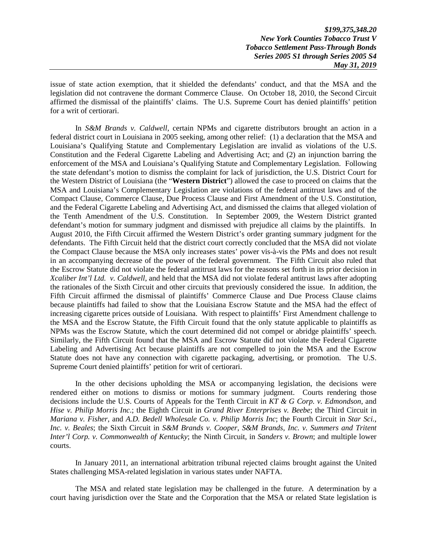*\$199,375,348.20 New York Counties Tobacco Trust V Tobacco Settlement Pass-Through Bonds Series 2005 S1 through Series 2005 S4 May 31, 2019* 

issue of state action exemption, that it shielded the defendants' conduct, and that the MSA and the legislation did not contravene the dormant Commerce Clause. On October 18, 2010, the Second Circuit affirmed the dismissal of the plaintiffs' claims. The U.S. Supreme Court has denied plaintiffs' petition for a writ of certiorari.

In *S&M Brands v. Caldwell*, certain NPMs and cigarette distributors brought an action in a federal district court in Louisiana in 2005 seeking, among other relief: (1) a declaration that the MSA and Louisiana's Qualifying Statute and Complementary Legislation are invalid as violations of the U.S. Constitution and the Federal Cigarette Labeling and Advertising Act; and (2) an injunction barring the enforcement of the MSA and Louisiana's Qualifying Statute and Complementary Legislation. Following the state defendant's motion to dismiss the complaint for lack of jurisdiction, the U.S. District Court for the Western District of Louisiana (the "**Western District**") allowed the case to proceed on claims that the MSA and Louisiana's Complementary Legislation are violations of the federal antitrust laws and of the Compact Clause, Commerce Clause, Due Process Clause and First Amendment of the U.S. Constitution, and the Federal Cigarette Labeling and Advertising Act, and dismissed the claims that alleged violation of the Tenth Amendment of the U.S. Constitution. In September 2009, the Western District granted defendant's motion for summary judgment and dismissed with prejudice all claims by the plaintiffs. In August 2010, the Fifth Circuit affirmed the Western District's order granting summary judgment for the defendants. The Fifth Circuit held that the district court correctly concluded that the MSA did not violate the Compact Clause because the MSA only increases states' power vis-à-vis the PMs and does not result in an accompanying decrease of the power of the federal government. The Fifth Circuit also ruled that the Escrow Statute did not violate the federal antitrust laws for the reasons set forth in its prior decision in *Xcaliber Int'l Ltd. v. Caldwell*, and held that the MSA did not violate federal antitrust laws after adopting the rationales of the Sixth Circuit and other circuits that previously considered the issue. In addition, the Fifth Circuit affirmed the dismissal of plaintiffs' Commerce Clause and Due Process Clause claims because plaintiffs had failed to show that the Louisiana Escrow Statute and the MSA had the effect of increasing cigarette prices outside of Louisiana. With respect to plaintiffs' First Amendment challenge to the MSA and the Escrow Statute, the Fifth Circuit found that the only statute applicable to plaintiffs as NPMs was the Escrow Statute, which the court determined did not compel or abridge plaintiffs' speech. Similarly, the Fifth Circuit found that the MSA and Escrow Statute did not violate the Federal Cigarette Labeling and Advertising Act because plaintiffs are not compelled to join the MSA and the Escrow Statute does not have any connection with cigarette packaging, advertising, or promotion. The U.S. Supreme Court denied plaintiffs' petition for writ of certiorari.

In the other decisions upholding the MSA or accompanying legislation, the decisions were rendered either on motions to dismiss or motions for summary judgment. Courts rendering those decisions include the U.S. Courts of Appeals for the Tenth Circuit in *KT & G Corp. v. Edmondson*, and *Hise v. Philip Morris Inc*.; the Eighth Circuit in *Grand River Enterprises v. Beebe*; the Third Circuit in *Mariana v. Fisher*, and *A.D. Bedell Wholesale Co. v. Philip Morris Inc*; the Fourth Circuit in *Star Sci., Inc. v. Beales*; the Sixth Circuit in *S&M Brands v. Cooper*, *S&M Brands, Inc. v. Summers and Tritent Inter'l Corp. v. Commonwealth of Kentucky*; the Ninth Circuit, in *Sanders v. Brown*; and multiple lower courts.

In January 2011, an international arbitration tribunal rejected claims brought against the United States challenging MSA-related legislation in various states under NAFTA.

The MSA and related state legislation may be challenged in the future. A determination by a court having jurisdiction over the State and the Corporation that the MSA or related State legislation is